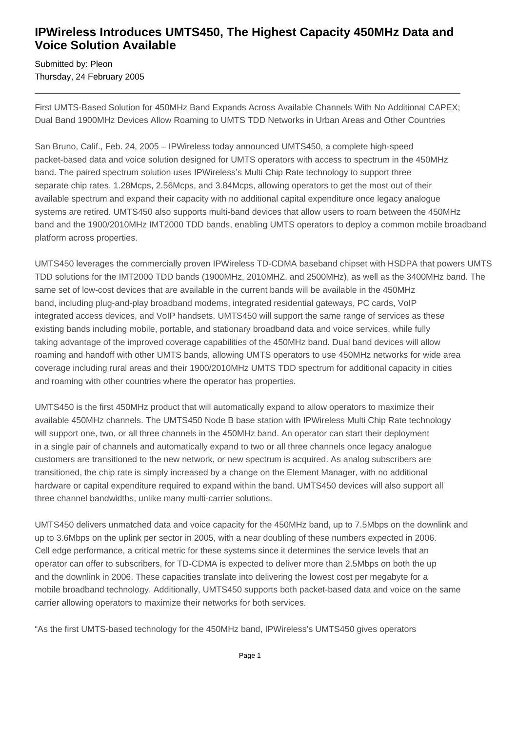## **IPWireless Introduces UMTS450, The Highest Capacity 450MHz Data and Voice Solution Available**

Submitted by: Pleon Thursday, 24 February 2005

First UMTS-Based Solution for 450MHz Band Expands Across Available Channels With No Additional CAPEX; Dual Band 1900MHz Devices Allow Roaming to UMTS TDD Networks in Urban Areas and Other Countries

San Bruno, Calif., Feb. 24, 2005 – IPWireless today announced UMTS450, a complete high-speed packet-based data and voice solution designed for UMTS operators with access to spectrum in the 450MHz band. The paired spectrum solution uses IPWireless's Multi Chip Rate technology to support three separate chip rates, 1.28Mcps, 2.56Mcps, and 3.84Mcps, allowing operators to get the most out of their available spectrum and expand their capacity with no additional capital expenditure once legacy analogue systems are retired. UMTS450 also supports multi-band devices that allow users to roam between the 450MHz band and the 1900/2010MHz IMT2000 TDD bands, enabling UMTS operators to deploy a common mobile broadband platform across properties.

UMTS450 leverages the commercially proven IPWireless TD-CDMA baseband chipset with HSDPA that powers UMTS TDD solutions for the IMT2000 TDD bands (1900MHz, 2010MHZ, and 2500MHz), as well as the 3400MHz band. The same set of low-cost devices that are available in the current bands will be available in the 450MHz band, including plug-and-play broadband modems, integrated residential gateways, PC cards, VoIP integrated access devices, and VoIP handsets. UMTS450 will support the same range of services as these existing bands including mobile, portable, and stationary broadband data and voice services, while fully taking advantage of the improved coverage capabilities of the 450MHz band. Dual band devices will allow roaming and handoff with other UMTS bands, allowing UMTS operators to use 450MHz networks for wide area coverage including rural areas and their 1900/2010MHz UMTS TDD spectrum for additional capacity in cities and roaming with other countries where the operator has properties.

UMTS450 is the first 450MHz product that will automatically expand to allow operators to maximize their available 450MHz channels. The UMTS450 Node B base station with IPWireless Multi Chip Rate technology will support one, two, or all three channels in the 450MHz band. An operator can start their deployment in a single pair of channels and automatically expand to two or all three channels once legacy analogue customers are transitioned to the new network, or new spectrum is acquired. As analog subscribers are transitioned, the chip rate is simply increased by a change on the Element Manager, with no additional hardware or capital expenditure required to expand within the band. UMTS450 devices will also support all three channel bandwidths, unlike many multi-carrier solutions.

UMTS450 delivers unmatched data and voice capacity for the 450MHz band, up to 7.5Mbps on the downlink and up to 3.6Mbps on the uplink per sector in 2005, with a near doubling of these numbers expected in 2006. Cell edge performance, a critical metric for these systems since it determines the service levels that an operator can offer to subscribers, for TD-CDMA is expected to deliver more than 2.5Mbps on both the up and the downlink in 2006. These capacities translate into delivering the lowest cost per megabyte for a mobile broadband technology. Additionally, UMTS450 supports both packet-based data and voice on the same carrier allowing operators to maximize their networks for both services.

"As the first UMTS-based technology for the 450MHz band, IPWireless's UMTS450 gives operators